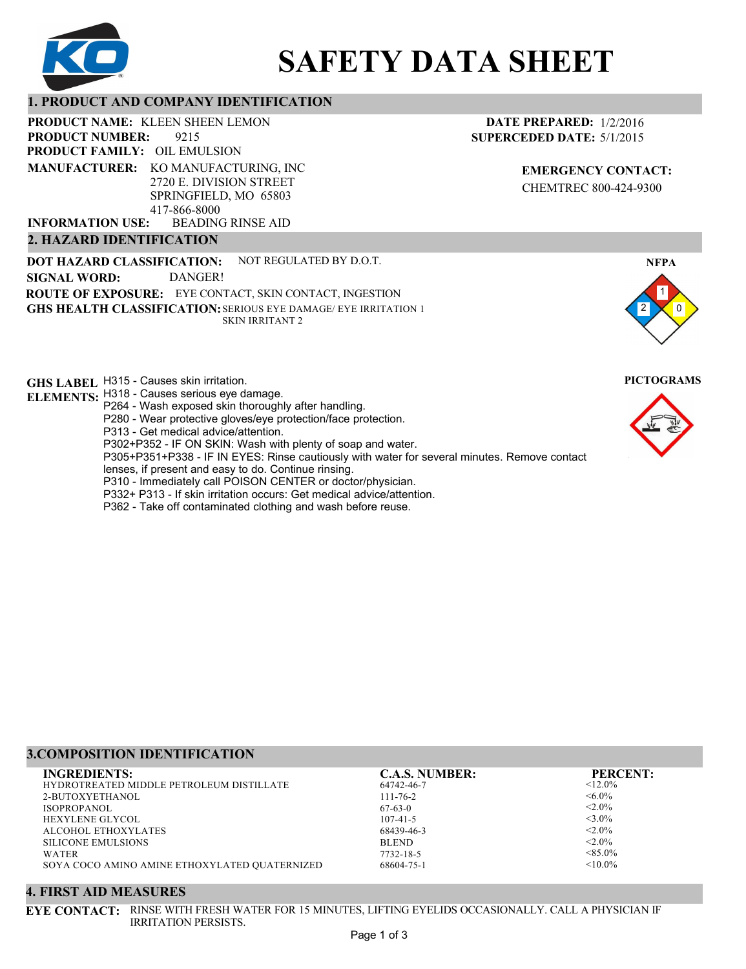

# **SAFETY DATA SHEET**

# **1. PRODUCT AND COMPANY IDENTIFICATION**

**PRODUCT NAME: KLEEN SHEEN LEMON** 

9215 **PRODUCT FAMILY: OIL EMULSION** BEADING RINSE AID **PRODUCT NUMBER: MANUFACTURER:** KO MANUFACTURING, INC 2720 E. DIVISION STREET SPRINGFIELD, MO 65803 417-866-8000 **INFORMATION USE:**

# **2. HAZARD IDENTIFICATION**

**DOT HAZARD CLASSIFICATION: GHS HEALTH CLASSIFICATION:** SERIOUS EYE DAMAGE/ EYE IRRITATION 1 **ROUTE OF EXPOSURE:** EYE CONTACT, SKIN CONTACT, INGESTION NOT REGULATED BY D.O.T. SKIN IRRITANT 2 **SIGNAL WORD:** DANGER!

**GHS LABEL**  H315 - Causes skin irritation. **PICTOGRAMS**

- **ELEMENTS:** H318 Causes serious eye damage. P264 - Wash exposed skin thoroughly after handling.
	- P280 Wear protective gloves/eye protection/face protection.
	- P313 Get medical advice/attention.
	- P302+P352 IF ON SKIN: Wash with plenty of soap and water.

P305+P351+P338 - IF IN EYES: Rinse cautiously with water for several minutes. Remove contact

- lenses, if present and easy to do. Continue rinsing.
- P310 Immediately call POISON CENTER or doctor/physician.
- P332+ P313 If skin irritation occurs: Get medical advice/attention.
- P362 Take off contaminated clothing and wash before reuse.

# **DATE PREPARED:** 1/2/2016 **SUPERCEDED DATE:** 5/1/2015

**EMERGENCY CONTACT:** CHEMTREC 800-424-9300



# **3.COMPOSITION IDENTIFICATION**

| <b>INGREDIENTS:</b>                           | <b>C.A.S. NUMBER:</b> | <b>PERCENT:</b> |
|-----------------------------------------------|-----------------------|-----------------|
| HYDROTREATED MIDDLE PETROLEUM DISTILLATE      | 64742-46-7            | $< 12.0\%$      |
| 2-BUTOXYETHANOL                               | $111 - 76 - 2$        | $<6.0\%$        |
| ISOPROPANOL                                   | $67-63-0$             | $< 2.0\%$       |
| <b>HEXYLENE GLYCOL</b>                        | $107 - 41 - 5$        | $<$ 3.0%        |
| ALCOHOL ETHOXYLATES                           | 68439-46-3            | $< 2.0\%$       |
| <b>SILICONE EMULSIONS</b>                     | <b>BLEND</b>          | $< 2.0\%$       |
| WATER                                         | 7732-18-5             | $< 85.0\%$      |
| SOYA COCO AMINO AMINE ETHOXYLATED QUATERNIZED | 68604-75-1            | $< 10.0\%$      |

#### **4. FIRST AID MEASURES**

**EYE CONTACT:** RINSE WITH FRESH WATER FOR 15 MINUTES, LIFTING EYELIDS OCCASIONALLY. CALL A PHYSICIAN IF IRRITATION PERSISTS.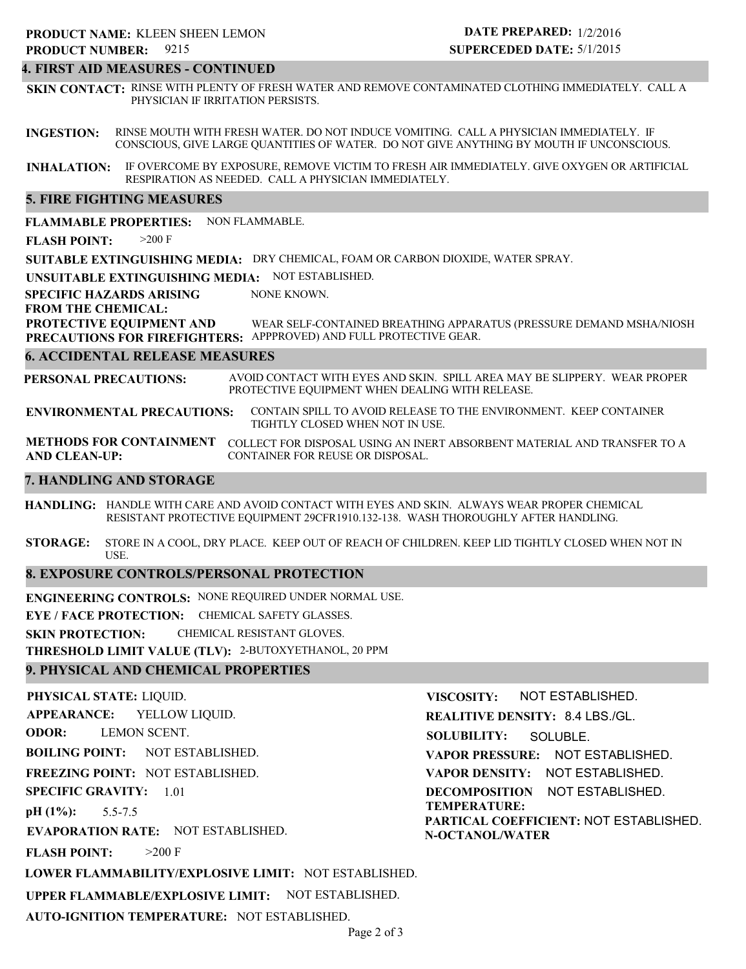#### **4. FIRST AID MEASURES - CONTINUED**

**SKIN CONTACT:** RINSE WITH PLENTY OF FRESH WATER AND REMOVE CONTAMINATED CLOTHING IMMEDIATELY. CALL A PHYSICIAN IF IRRITATION PERSISTS.

**INGESTION:** RINSE MOUTH WITH FRESH WATER. DO NOT INDUCE VOMITING. CALL A PHYSICIAN IMMEDIATELY. IF CONSCIOUS, GIVE LARGE QUANTITIES OF WATER. DO NOT GIVE ANYTHING BY MOUTH IF UNCONSCIOUS.

**INHALATION:** IF OVERCOME BY EXPOSURE, REMOVE VICTIM TO FRESH AIR IMMEDIATELY. GIVE OXYGEN OR ARTIFICIAL RESPIRATION AS NEEDED. CALL A PHYSICIAN IMMEDIATELY.

#### **5. FIRE FIGHTING MEASURES**

**FLAMMABLE PROPERTIES:** NON FLAMMABLE.

**FLASH POINT:** >200 F

**SUITABLE EXTINGUISHING MEDIA:** DRY CHEMICAL, FOAM OR CARBON DIOXIDE, WATER SPRAY.

**UNSUITABLE EXTINGUISHING MEDIA:** NOT ESTABLISHED.

**SPECIFIC HAZARDS ARISING** NONE KNOWN.

#### **FROM THE CHEMICAL:**

**PROTECTIVE EQUIPMENT AND PRECAUTIONS FOR FIREFIGHTERS:** APPPROVED) AND FULL PROTECTIVE GEAR. WEAR SELF-CONTAINED BREATHING APPARATUS (PRESSURE DEMAND MSHA/NIOSH

#### **6. ACCIDENTAL RELEASE MEASURES**

**PERSONAL PRECAUTIONS:** AVOID CONTACT WITH EYES AND SKIN. SPILL AREA MAY BE SLIPPERY. WEAR PROPER PROTECTIVE EQUIPMENT WHEN DEALING WITH RELEASE.

**ENVIRONMENTAL PRECAUTIONS:** CONTAIN SPILL TO AVOID RELEASE TO THE ENVIRONMENT. KEEP CONTAINER TIGHTLY CLOSED WHEN NOT IN USE.

**METHODS FOR CONTAINMENT** COLLECT FOR DISPOSAL USING AN INERT ABSORBENT MATERIAL AND TRANSFER TO A **AND CLEAN-UP:** CONTAINER FOR REUSE OR DISPOSAL.

#### **7. HANDLING AND STORAGE**

**HANDLING:** HANDLE WITH CARE AND AVOID CONTACT WITH EYES AND SKIN. ALWAYS WEAR PROPER CHEMICAL RESISTANT PROTECTIVE EQUIPMENT 29CFR1910.132-138. WASH THOROUGHLY AFTER HANDLING.

**STORAGE:** STORE IN A COOL, DRY PLACE. KEEP OUT OF REACH OF CHILDREN. KEEP LID TIGHTLY CLOSED WHEN NOT IN USE.

### **8. EXPOSURE CONTROLS/PERSONAL PROTECTION**

**ENGINEERING CONTROLS:** NONE REQUIRED UNDER NORMAL USE.

**EYE / FACE PROTECTION:** CHEMICAL SAFETY GLASSES.

**SKIN PROTECTION:** CHEMICAL RESISTANT GLOVES.

**THRESHOLD LIMIT VALUE (TLV):** 2-BUTOXYETHANOL, 20 PPM

### **9. PHYSICAL AND CHEMICAL PROPERTIES**

**PHYSICAL STATE:** LIQUID. **APPEARANCE: ODOR: BOILING POINT:** NOT ESTABLISHED. **FREEZING POINT:** NOT ESTABLISHED. **SPECIFIC GRAVITY:** 1.01 **pH (1%): EVAPORATION RATE:** NOT ESTABLISHED. **FLASH POINT: LOWER FLAMMABILITY/EXPLOSIVE LIMIT:** NOT ESTABLISHED. **UPPER FLAMMABLE/EXPLOSIVE LIMIT:** NOT ESTABLISHED. 5.5-7.5  $>200$  F YELLOW LIQUID. LEMON SCENT. **VISCOSITY: REALITIVE DENSITY:** 8.4 LBS./GL. **SOLUBILITY: VAPOR PRESSURE:** NOT ESTABLISHED. **VAPOR DENSITY:** NOT ESTABLISHED. **DECOMPOSITION** NOT ESTABLISHED. **TEMPERATURE: PARTICAL COEFFICIENT:** NOT ESTABLISHED. **N-OCTANOL/WATER** NOT ESTABLISHED. SOLUBLE.

**AUTO-IGNITION TEMPERATURE:** NOT ESTABLISHED.